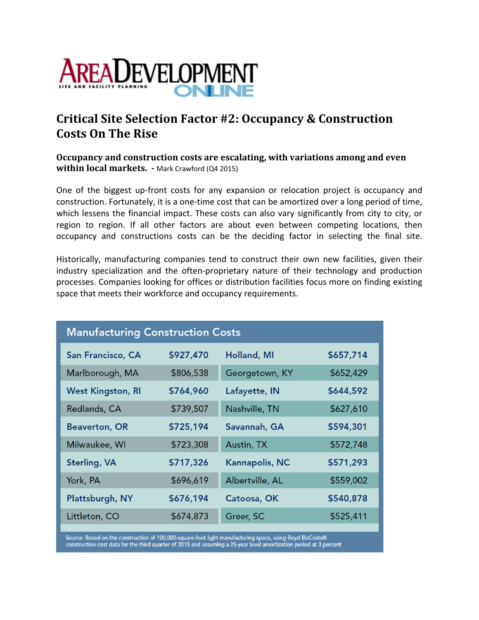

## **Critical Site Selection Factor #2: Occupancy & Construction Costs On The Rise**

**Occupancy and construction costs are escalating, with variations among and even within local markets. -** Mark Crawford (Q4 2015)

One of the biggest up‐front costs for any expansion or relocation project is occupancy and construction. Fortunately, it is a one‐time cost that can be amortized over a long period of time, which lessens the financial impact. These costs can also vary significantly from city to city, or region to region. If all other factors are about even between competing locations, then occupancy and constructions costs can be the deciding factor in selecting the final site.

Historically, manufacturing companies tend to construct their own new facilities, given their industry specialization and the often‐proprietary nature of their technology and production processes. Companies looking for offices or distribution facilities focus more on finding existing space that meets their workforce and occupancy requirements.

| <b>Manufacturing Construction Costs</b> |           |                       |           |
|-----------------------------------------|-----------|-----------------------|-----------|
| San Francisco, CA                       | \$927,470 | <b>Holland, MI</b>    | \$657,714 |
| Marlborough, MA                         | \$806,538 | Georgetown, KY        | \$652,429 |
| <b>West Kingston, RI</b>                | \$764,960 | Lafayette, IN         | \$644,592 |
| Redlands, CA                            | \$739,507 | Nashville, TN         | \$627,610 |
| <b>Beaverton, OR</b>                    | \$725,194 | Savannah, GA          | \$594,301 |
| Milwaukee, WI                           | \$723,308 | Austin, TX            | \$572,748 |
| <b>Sterling, VA</b>                     | \$717,326 | <b>Kannapolis, NC</b> | \$571,293 |
| York, PA                                | \$696,619 | Albertville, AL       | \$559,002 |
| Plattsburgh, NY                         | \$676,194 | Catoosa, OK           | \$540,878 |
| Littleton, CO                           | \$674,873 | Greer, SC             | \$525,411 |

Source: Based on the construction of 100,000-square-foot light manufacturing space, using Boyd BizCosts® construction cost data for the third quarter of 2015 and assuming a 25-year level amortization period at 3 percent